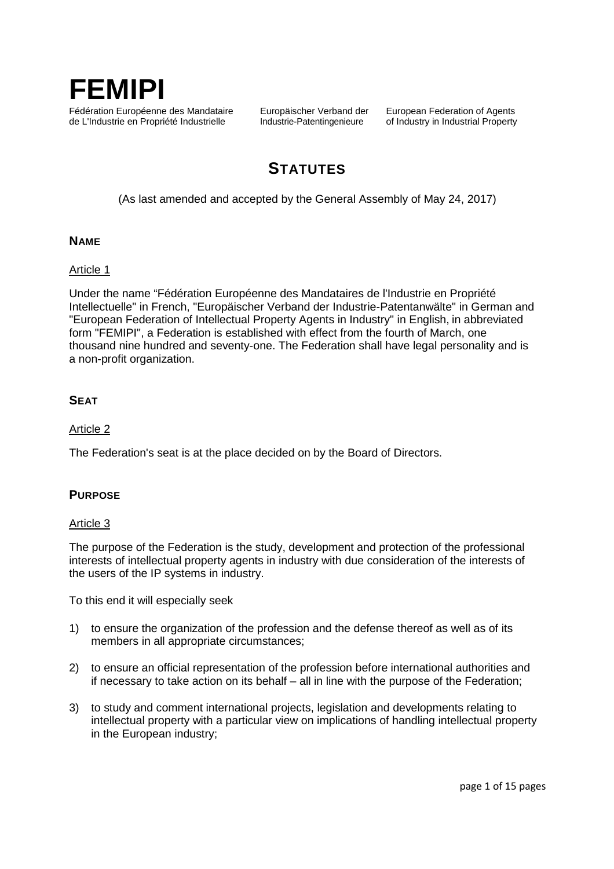

Fédération Européenne des Mandataire and Europäischer Verband der and European Federation of Agents<br>
Solution de L'Industrie en Propriété Industrielle and Industrie-Patentingenieure de Industry in Industrial Property de L'Industrie en Propriété Industrielle

# **STATUTES**

(As last amended and accepted by the General Assembly of May 24, 2017)

## **NAME**

## Article 1

Under the name "Fédération Européenne des Mandataires de l'Industrie en Propriété Intellectuelle" in French, "Europäischer Verband der Industrie-Patentanwälte" in German and "European Federation of Intellectual Property Agents in Industry" in English, in abbreviated form "FEMIPI", a Federation is established with effect from the fourth of March, one thousand nine hundred and seventy-one. The Federation shall have legal personality and is a non-profit organization.

## **SEAT**

## Article 2

The Federation's seat is at the place decided on by the Board of Directors.

## **PURPOSE**

#### Article 3

The purpose of the Federation is the study, development and protection of the professional interests of intellectual property agents in industry with due consideration of the interests of the users of the IP systems in industry.

To this end it will especially seek

- 1) to ensure the organization of the profession and the defense thereof as well as of its members in all appropriate circumstances;
- 2) to ensure an official representation of the profession before international authorities and if necessary to take action on its behalf – all in line with the purpose of the Federation;
- 3) to study and comment international projects, legislation and developments relating to intellectual property with a particular view on implications of handling intellectual property in the European industry;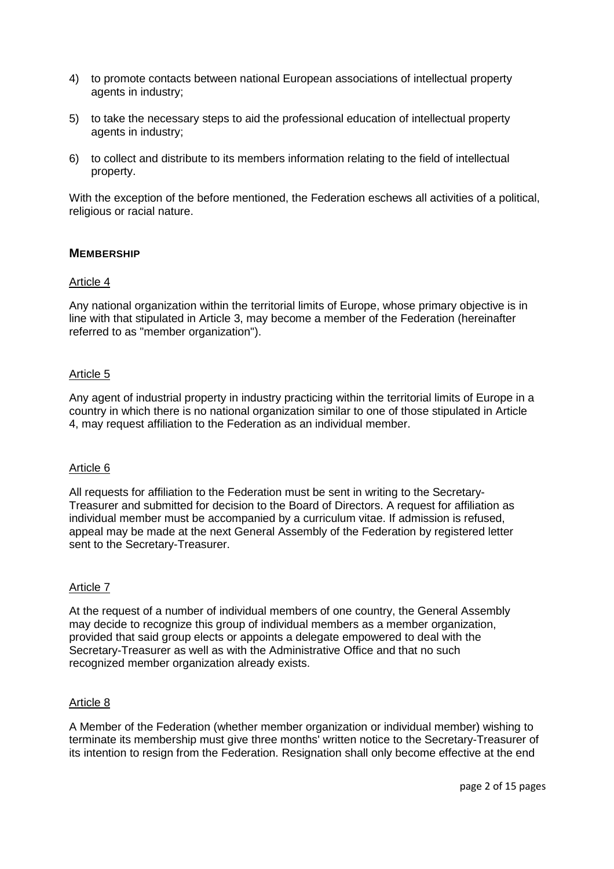- 4) to promote contacts between national European associations of intellectual property agents in industry;
- 5) to take the necessary steps to aid the professional education of intellectual property agents in industry;
- 6) to collect and distribute to its members information relating to the field of intellectual property.

With the exception of the before mentioned, the Federation eschews all activities of a political, religious or racial nature.

### **MEMBERSHIP**

#### Article 4

Any national organization within the territorial limits of Europe, whose primary objective is in line with that stipulated in Article 3, may become a member of the Federation (hereinafter referred to as "member organization").

#### Article 5

Any agent of industrial property in industry practicing within the territorial limits of Europe in a country in which there is no national organization similar to one of those stipulated in Article 4, may request affiliation to the Federation as an individual member.

#### Article 6

All requests for affiliation to the Federation must be sent in writing to the Secretary-Treasurer and submitted for decision to the Board of Directors. A request for affiliation as individual member must be accompanied by a curriculum vitae. If admission is refused, appeal may be made at the next General Assembly of the Federation by registered letter sent to the Secretary-Treasurer.

#### Article 7

At the request of a number of individual members of one country, the General Assembly may decide to recognize this group of individual members as a member organization, provided that said group elects or appoints a delegate empowered to deal with the Secretary-Treasurer as well as with the Administrative Office and that no such recognized member organization already exists.

#### Article 8

A Member of the Federation (whether member organization or individual member) wishing to terminate its membership must give three months' written notice to the Secretary-Treasurer of its intention to resign from the Federation. Resignation shall only become effective at the end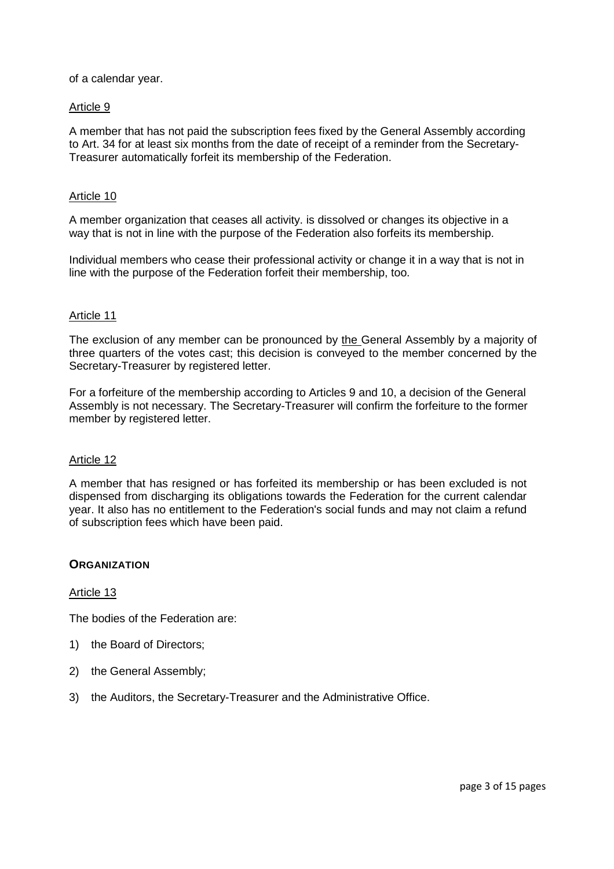of a calendar year.

#### Article 9

A member that has not paid the subscription fees fixed by the General Assembly according to Art. 34 for at least six months from the date of receipt of a reminder from the Secretary-Treasurer automatically forfeit its membership of the Federation.

#### Article 10

A member organization that ceases all activity. is dissolved or changes its objective in a way that is not in line with the purpose of the Federation also forfeits its membership.

Individual members who cease their professional activity or change it in a way that is not in line with the purpose of the Federation forfeit their membership, too.

#### Article 11

The exclusion of any member can be pronounced by the General Assembly by a majority of three quarters of the votes cast; this decision is conveyed to the member concerned by the Secretary-Treasurer by registered letter.

For a forfeiture of the membership according to Articles 9 and 10, a decision of the General Assembly is not necessary. The Secretary-Treasurer will confirm the forfeiture to the former member by registered letter.

#### Article 12

A member that has resigned or has forfeited its membership or has been excluded is not dispensed from discharging its obligations towards the Federation for the current calendar year. It also has no entitlement to the Federation's social funds and may not claim a refund of subscription fees which have been paid.

#### **ORGANIZATION**

#### Article 13

The bodies of the Federation are:

- 1) the Board of Directors;
- 2) the General Assembly;
- 3) the Auditors, the Secretary-Treasurer and the Administrative Office.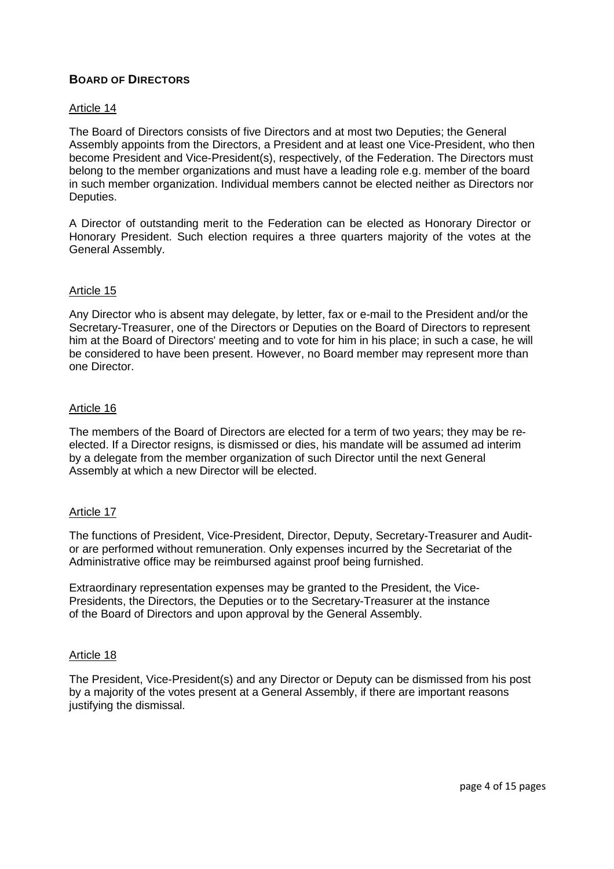## **BOARD OF DIRECTORS**

#### Article 14

The Board of Directors consists of five Directors and at most two Deputies; the General Assembly appoints from the Directors, a President and at least one Vice-President, who then become President and Vice-President(s), respectively, of the Federation. The Directors must belong to the member organizations and must have a leading role e.g. member of the board in such member organization. Individual members cannot be elected neither as Directors nor Deputies.

A Director of outstanding merit to the Federation can be elected as Honorary Director or Honorary President. Such election requires a three quarters majority of the votes at the General Assembly.

#### Article 15

Any Director who is absent may delegate, by letter, fax or e-mail to the President and/or the Secretary-Treasurer, one of the Directors or Deputies on the Board of Directors to represent him at the Board of Directors' meeting and to vote for him in his place; in such a case, he will be considered to have been present. However, no Board member may represent more than one Director.

#### Article 16

The members of the Board of Directors are elected for a term of two years; they may be reelected. If a Director resigns, is dismissed or dies, his mandate will be assumed ad interim by a delegate from the member organization of such Director until the next General Assembly at which a new Director will be elected.

#### Article 17

The functions of President, Vice-President, Director, Deputy, Secretary-Treasurer and Auditor are performed without remuneration. Only expenses incurred by the Secretariat of the Administrative office may be reimbursed against proof being furnished.

Extraordinary representation expenses may be granted to the President, the Vice-Presidents, the Directors, the Deputies or to the Secretary-Treasurer at the instance of the Board of Directors and upon approval by the General Assembly.

#### Article 18

The President, Vice-President(s) and any Director or Deputy can be dismissed from his post by a majority of the votes present at a General Assembly, if there are important reasons justifying the dismissal.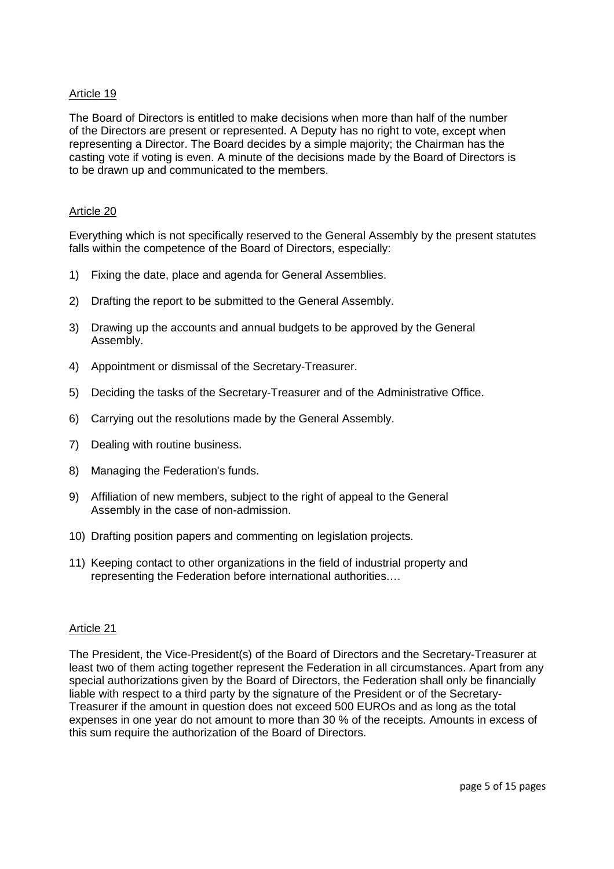#### Article 19

The Board of Directors is entitled to make decisions when more than half of the number of the Directors are present or represented. A Deputy has no right to vote, except when representing a Director. The Board decides by a simple majority; the Chairman has the casting vote if voting is even. A minute of the decisions made by the Board of Directors is to be drawn up and communicated to the members.

#### Article 20

Everything which is not specifically reserved to the General Assembly by the present statutes falls within the competence of the Board of Directors, especially:

- 1) Fixing the date, place and agenda for General Assemblies.
- 2) Drafting the report to be submitted to the General Assembly.
- 3) Drawing up the accounts and annual budgets to be approved by the General Assembly.
- 4) Appointment or dismissal of the Secretary-Treasurer.
- 5) Deciding the tasks of the Secretary-Treasurer and of the Administrative Office.
- 6) Carrying out the resolutions made by the General Assembly.
- 7) Dealing with routine business.
- 8) Managing the Federation's funds.
- 9) Affiliation of new members, subject to the right of appeal to the General Assembly in the case of non-admission.
- 10) Drafting position papers and commenting on legislation projects.
- 11) Keeping contact to other organizations in the field of industrial property and representing the Federation before international authorities.…

#### Article 21

The President, the Vice-President(s) of the Board of Directors and the Secretary-Treasurer at least two of them acting together represent the Federation in all circumstances. Apart from any special authorizations given by the Board of Directors, the Federation shall only be financially liable with respect to a third party by the signature of the President or of the Secretary-Treasurer if the amount in question does not exceed 500 EUROs and as long as the total expenses in one year do not amount to more than 30 % of the receipts. Amounts in excess of this sum require the authorization of the Board of Directors.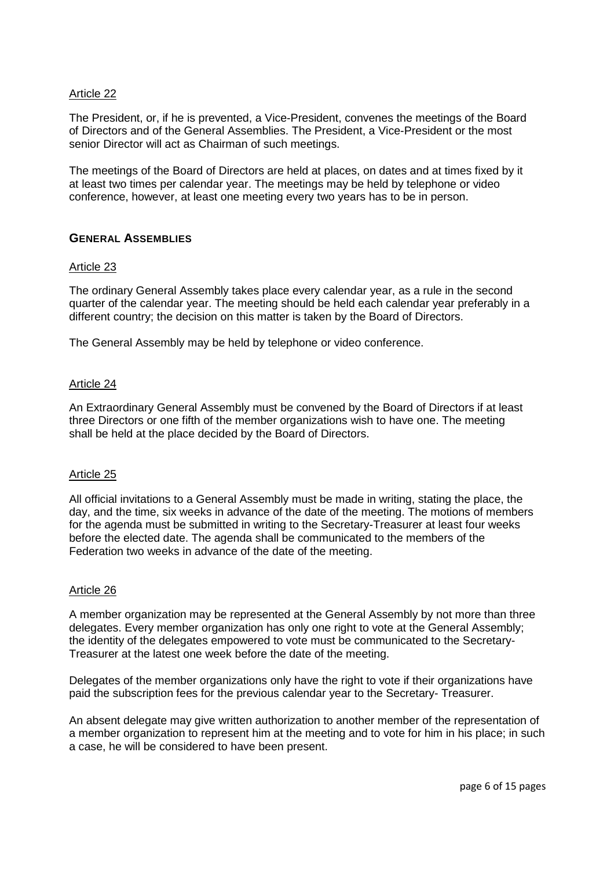#### Article 22

The President, or, if he is prevented, a Vice-President, convenes the meetings of the Board of Directors and of the General Assemblies. The President, a Vice-President or the most senior Director will act as Chairman of such meetings.

The meetings of the Board of Directors are held at places, on dates and at times fixed by it at least two times per calendar year. The meetings may be held by telephone or video conference, however, at least one meeting every two years has to be in person.

#### **GENERAL ASSEMBLIES**

#### Article 23

The ordinary General Assembly takes place every calendar year, as a rule in the second quarter of the calendar year. The meeting should be held each calendar year preferably in a different country; the decision on this matter is taken by the Board of Directors.

The General Assembly may be held by telephone or video conference.

#### Article 24

An Extraordinary General Assembly must be convened by the Board of Directors if at least three Directors or one fifth of the member organizations wish to have one. The meeting shall be held at the place decided by the Board of Directors.

#### Article 25

All official invitations to a General Assembly must be made in writing, stating the place, the day, and the time, six weeks in advance of the date of the meeting. The motions of members for the agenda must be submitted in writing to the Secretary-Treasurer at least four weeks before the elected date. The agenda shall be communicated to the members of the Federation two weeks in advance of the date of the meeting.

#### Article 26

A member organization may be represented at the General Assembly by not more than three delegates. Every member organization has only one right to vote at the General Assembly; the identity of the delegates empowered to vote must be communicated to the Secretary-Treasurer at the latest one week before the date of the meeting.

Delegates of the member organizations only have the right to vote if their organizations have paid the subscription fees for the previous calendar year to the Secretary- Treasurer.

An absent delegate may give written authorization to another member of the representation of a member organization to represent him at the meeting and to vote for him in his place; in such a case, he will be considered to have been present.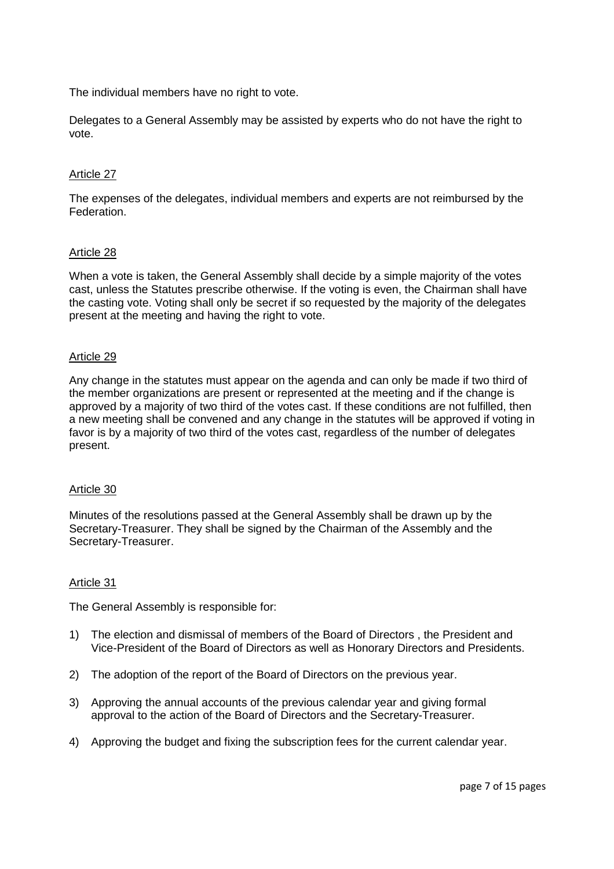The individual members have no right to vote.

Delegates to a General Assembly may be assisted by experts who do not have the right to vote.

## Article 27

The expenses of the delegates, individual members and experts are not reimbursed by the **Federation** 

#### Article 28

When a vote is taken, the General Assembly shall decide by a simple majority of the votes cast, unless the Statutes prescribe otherwise. If the voting is even, the Chairman shall have the casting vote. Voting shall only be secret if so requested by the majority of the delegates present at the meeting and having the right to vote.

#### Article 29

Any change in the statutes must appear on the agenda and can only be made if two third of the member organizations are present or represented at the meeting and if the change is approved by a majority of two third of the votes cast. If these conditions are not fulfilled, then a new meeting shall be convened and any change in the statutes will be approved if voting in favor is by a majority of two third of the votes cast, regardless of the number of delegates present.

#### Article 30

Minutes of the resolutions passed at the General Assembly shall be drawn up by the Secretary-Treasurer. They shall be signed by the Chairman of the Assembly and the Secretary-Treasurer.

#### Article 31

The General Assembly is responsible for:

- 1) The election and dismissal of members of the Board of Directors , the President and Vice-President of the Board of Directors as well as Honorary Directors and Presidents.
- 2) The adoption of the report of the Board of Directors on the previous year.
- 3) Approving the annual accounts of the previous calendar year and giving formal approval to the action of the Board of Directors and the Secretary-Treasurer.
- 4) Approving the budget and fixing the subscription fees for the current calendar year.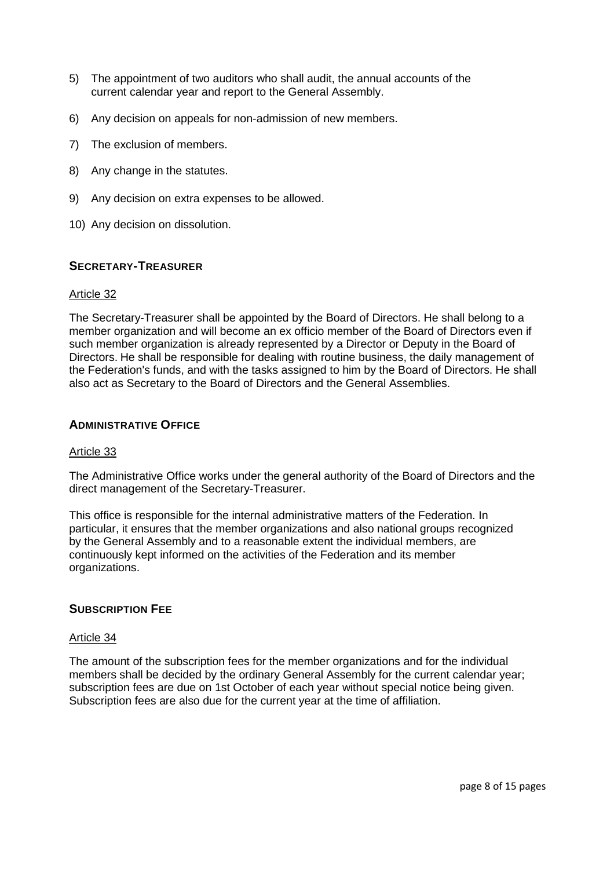- 5) The appointment of two auditors who shall audit, the annual accounts of the current calendar year and report to the General Assembly.
- 6) Any decision on appeals for non-admission of new members.
- 7) The exclusion of members.
- 8) Any change in the statutes.
- 9) Any decision on extra expenses to be allowed.
- 10) Any decision on dissolution.

## **SECRETARY-TREASURER**

#### Article 32

The Secretary-Treasurer shall be appointed by the Board of Directors. He shall belong to a member organization and will become an ex officio member of the Board of Directors even if such member organization is already represented by a Director or Deputy in the Board of Directors. He shall be responsible for dealing with routine business, the daily management of the Federation's funds, and with the tasks assigned to him by the Board of Directors. He shall also act as Secretary to the Board of Directors and the General Assemblies.

## **ADMINISTRATIVE OFFICE**

#### Article 33

The Administrative Office works under the general authority of the Board of Directors and the direct management of the Secretary-Treasurer.

This office is responsible for the internal administrative matters of the Federation. In particular, it ensures that the member organizations and also national groups recognized by the General Assembly and to a reasonable extent the individual members, are continuously kept informed on the activities of the Federation and its member organizations.

## **SUBSCRIPTION FEE**

#### Article 34

The amount of the subscription fees for the member organizations and for the individual members shall be decided by the ordinary General Assembly for the current calendar year; subscription fees are due on 1st October of each year without special notice being given. Subscription fees are also due for the current year at the time of affiliation.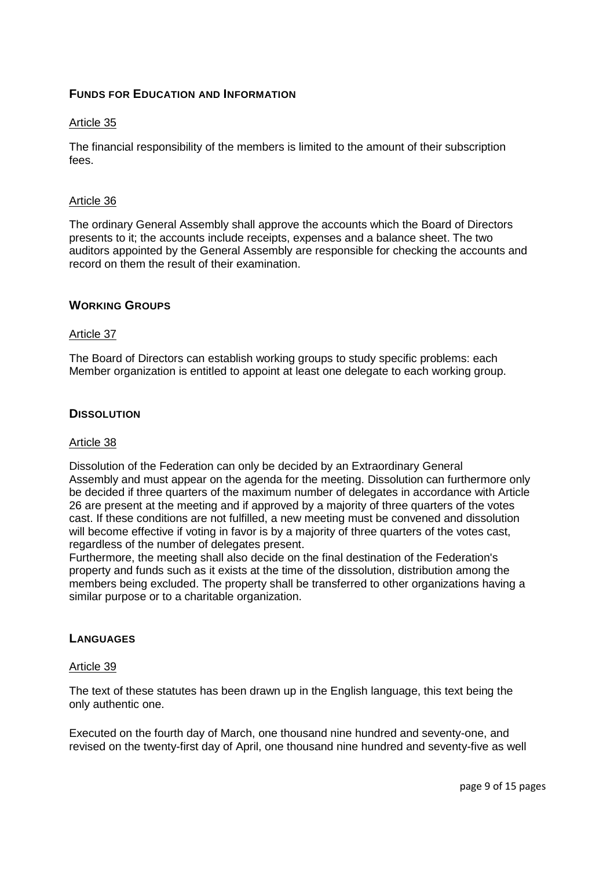## **FUNDS FOR EDUCATION AND INFORMATION**

#### Article 35

The financial responsibility of the members is limited to the amount of their subscription fees.

#### Article 36

The ordinary General Assembly shall approve the accounts which the Board of Directors presents to it; the accounts include receipts, expenses and a balance sheet. The two auditors appointed by the General Assembly are responsible for checking the accounts and record on them the result of their examination.

#### **WORKING GROUPS**

#### Article 37

The Board of Directors can establish working groups to study specific problems: each Member organization is entitled to appoint at least one delegate to each working group.

#### **DISSOLUTION**

#### Article 38

Dissolution of the Federation can only be decided by an Extraordinary General Assembly and must appear on the agenda for the meeting. Dissolution can furthermore only be decided if three quarters of the maximum number of delegates in accordance with Article 26 are present at the meeting and if approved by a majority of three quarters of the votes cast. If these conditions are not fulfilled, a new meeting must be convened and dissolution will become effective if voting in favor is by a majority of three quarters of the votes cast, regardless of the number of delegates present.

Furthermore, the meeting shall also decide on the final destination of the Federation's property and funds such as it exists at the time of the dissolution, distribution among the members being excluded. The property shall be transferred to other organizations having a similar purpose or to a charitable organization.

#### **LANGUAGES**

#### Article 39

The text of these statutes has been drawn up in the English language, this text being the only authentic one.

Executed on the fourth day of March, one thousand nine hundred and seventy-one, and revised on the twenty-first day of April, one thousand nine hundred and seventy-five as well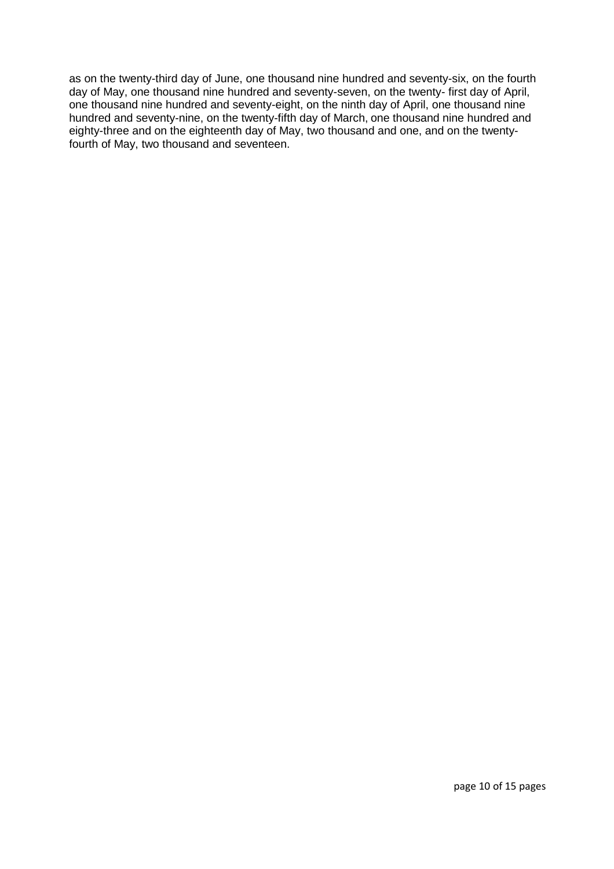as on the twenty-third day of June, one thousand nine hundred and seventy-six, on the fourth day of May, one thousand nine hundred and seventy-seven, on the twenty- first day of April, one thousand nine hundred and seventy-eight, on the ninth day of April, one thousand nine hundred and seventy-nine, on the twenty-fifth day of March, one thousand nine hundred and eighty-three and on the eighteenth day of May, two thousand and one, and on the twentyfourth of May, two thousand and seventeen.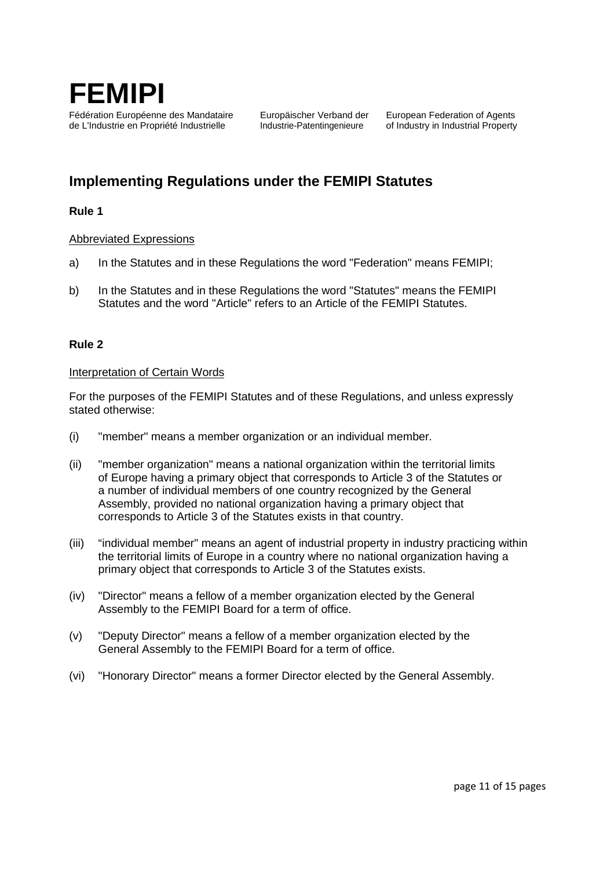

## **Implementing Regulations under the FEMIPI Statutes**

## **Rule 1**

## Abbreviated Expressions

- a) In the Statutes and in these Regulations the word "Federation" means FEMIPI;
- b) In the Statutes and in these Regulations the word "Statutes" means the FEMIPI Statutes and the word "Article" refers to an Article of the FEMIPI Statutes.

## **Rule 2**

#### Interpretation of Certain Words

For the purposes of the FEMIPI Statutes and of these Regulations, and unless expressly stated otherwise:

- (i) "member" means a member organization or an individual member.
- (ii) "member organization" means a national organization within the territorial limits of Europe having a primary object that corresponds to Article 3 of the Statutes or a number of individual members of one country recognized by the General Assembly, provided no national organization having a primary object that corresponds to Article 3 of the Statutes exists in that country.
- (iii) "individual member" means an agent of industrial property in industry practicing within the territorial limits of Europe in a country where no national organization having a primary object that corresponds to Article 3 of the Statutes exists.
- (iv) "Director" means a fellow of a member organization elected by the General Assembly to the FEMIPI Board for a term of office.
- (v) "Deputy Director" means a fellow of a member organization elected by the General Assembly to the FEMIPI Board for a term of office.
- (vi) "Honorary Director" means a former Director elected by the General Assembly.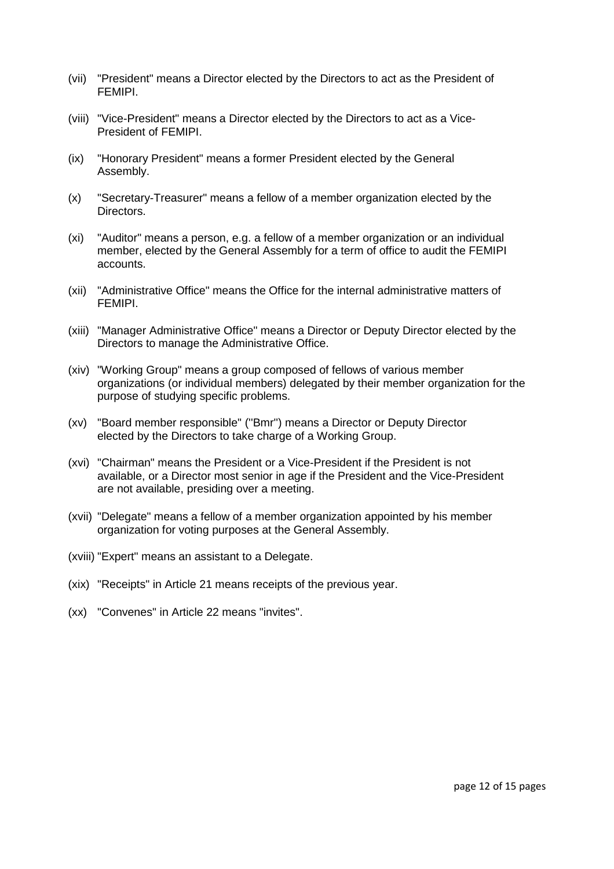- (vii) "President" means a Director elected by the Directors to act as the President of FEMIPI.
- (viii) "Vice-President" means a Director elected by the Directors to act as a Vice-President of FEMIPI.
- (ix) "Honorary President" means a former President elected by the General Assembly.
- (x) "Secretary-Treasurer" means a fellow of a member organization elected by the Directors.
- (xi) "Auditor" means a person, e.g. a fellow of a member organization or an individual member, elected by the General Assembly for a term of office to audit the FEMIPI accounts.
- (xii) "Administrative Office" means the Office for the internal administrative matters of FEMIPI.
- (xiii) "Manager Administrative Office" means a Director or Deputy Director elected by the Directors to manage the Administrative Office.
- (xiv) "Working Group" means a group composed of fellows of various member organizations (or individual members) delegated by their member organization for the purpose of studying specific problems.
- (xv) "Board member responsible" (''Bmr'') means a Director or Deputy Director elected by the Directors to take charge of a Working Group.
- (xvi) "Chairman" means the President or a Vice-President if the President is not available, or a Director most senior in age if the President and the Vice-President are not available, presiding over a meeting.
- (xvii) "Delegate" means a fellow of a member organization appointed by his member organization for voting purposes at the General Assembly.
- (xviii) "Expert" means an assistant to a Delegate.
- (xix) "Receipts" in Article 21 means receipts of the previous year.
- (xx) "Convenes" in Article 22 means "invites".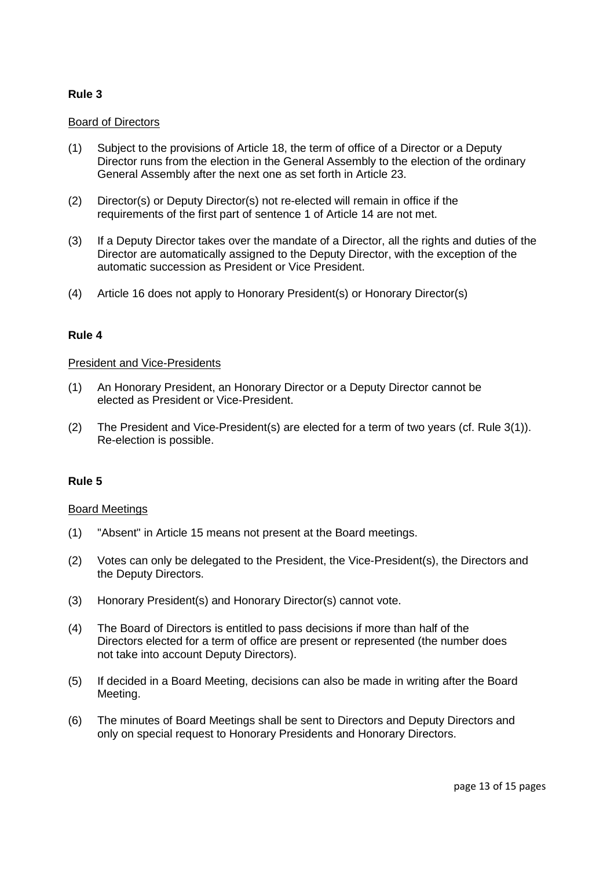## **Rule 3**

#### Board of Directors

- (1) Subject to the provisions of Article 18, the term of office of a Director or a Deputy Director runs from the election in the General Assembly to the election of the ordinary General Assembly after the next one as set forth in Article 23.
- (2) Director(s) or Deputy Director(s) not re-elected will remain in office if the requirements of the first part of sentence 1 of Article 14 are not met.
- (3) If a Deputy Director takes over the mandate of a Director, all the rights and duties of the Director are automatically assigned to the Deputy Director, with the exception of the automatic succession as President or Vice President.
- (4) Article 16 does not apply to Honorary President(s) or Honorary Director(s)

### **Rule 4**

#### President and Vice-Presidents

- (1) An Honorary President, an Honorary Director or a Deputy Director cannot be elected as President or Vice-President.
- (2) The President and Vice-President(s) are elected for a term of two years (cf. Rule 3(1)). Re-election is possible.

#### **Rule 5**

#### Board Meetings

- (1) "Absent" in Article 15 means not present at the Board meetings.
- (2) Votes can only be delegated to the President, the Vice-President(s), the Directors and the Deputy Directors.
- (3) Honorary President(s) and Honorary Director(s) cannot vote.
- (4) The Board of Directors is entitled to pass decisions if more than half of the Directors elected for a term of office are present or represented (the number does not take into account Deputy Directors).
- (5) If decided in a Board Meeting, decisions can also be made in writing after the Board Meeting.
- (6) The minutes of Board Meetings shall be sent to Directors and Deputy Directors and only on special request to Honorary Presidents and Honorary Directors.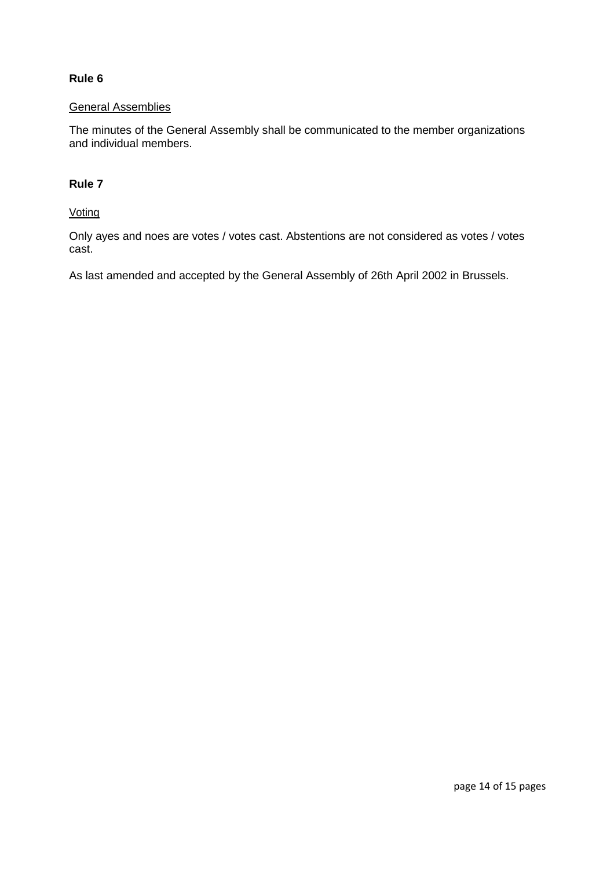## **Rule 6**

#### General Assemblies

The minutes of the General Assembly shall be communicated to the member organizations and individual members.

## **Rule 7**

### **Voting**

Only ayes and noes are votes / votes cast. Abstentions are not considered as votes / votes cast.

As last amended and accepted by the General Assembly of 26th April 2002 in Brussels.